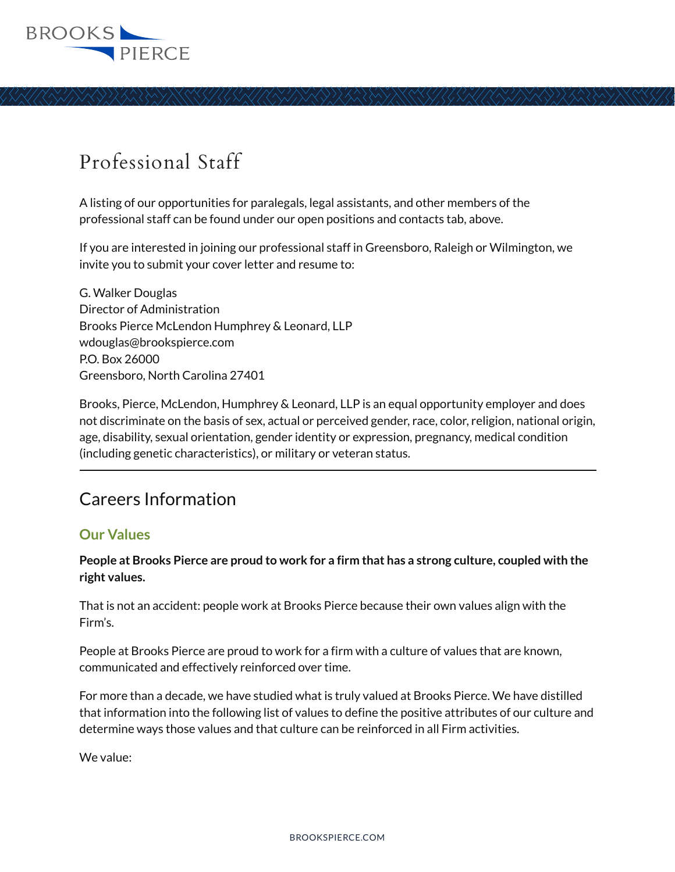

## Professional Staff

A listing of our opportunities for paralegals, legal assistants, and other members of the professional staff can be found under our open positions and contacts tab, above.

If you are interested in joining our professional staff in Greensboro, Raleigh or Wilmington, we invite you to submit your cover letter and resume to:

G. Walker Douglas Director of Administration Brooks Pierce McLendon Humphrey & Leonard, LLP wdouglas@brookspierce.com P.O. Box 26000 Greensboro, North Carolina 27401

Brooks, Pierce, McLendon, Humphrey & Leonard, LLP is an equal opportunity employer and does not discriminate on the basis of sex, actual or perceived gender, race, color, religion, national origin, age, disability, sexual orientation, gender identity or expression, pregnancy, medical condition (including genetic characteristics), or military or veteran status. Ĺ

## Careers Information

## **Our Values**

## **People at Brooks Pierce are proud to work for a firm that has a strong culture, coupled with the right values.**

That is not an accident: people work at Brooks Pierce because their own values align with the Firm's.

People at Brooks Pierce are proud to work for a firm with a culture of values that are known, communicated and effectively reinforced over time.

For more than a decade, we have studied what is truly valued at Brooks Pierce. We have distilled that information into the following list of values to define the positive attributes of our culture and determine ways those values and that culture can be reinforced in all Firm activities.

We value: